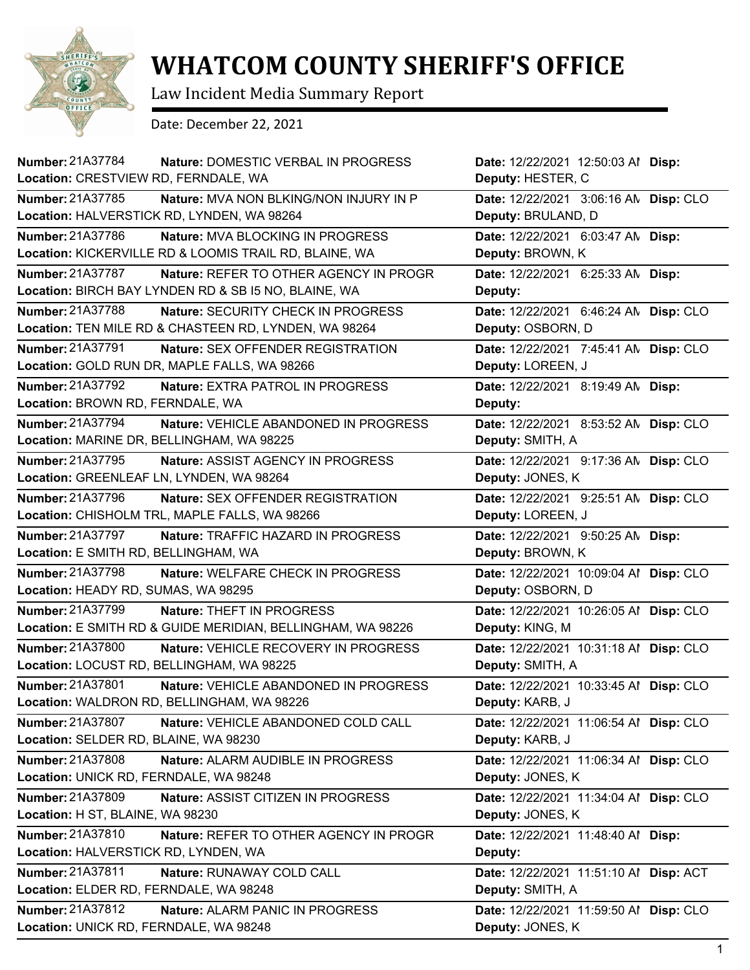

## **WHATCOM COUNTY SHERIFF'S OFFICE**

Law Incident Media Summary Report

Date: December 22, 2021

| <b>Number: 21A37784</b>                      | Nature: DOMESTIC VERBAL IN PROGRESS                         | Date: 12/22/2021 12:50:03 Al Disp:     |  |
|----------------------------------------------|-------------------------------------------------------------|----------------------------------------|--|
| Location: CRESTVIEW RD, FERNDALE, WA         |                                                             | Deputy: HESTER, C                      |  |
| Number: 21A37785                             | <b>Nature: MVA NON BLKING/NON INJURY IN P</b>               | Date: 12/22/2021 3:06:16 AN Disp: CLO  |  |
| Location: HALVERSTICK RD, LYNDEN, WA 98264   |                                                             | Deputy: BRULAND, D                     |  |
| Number: 21A37786                             | Nature: MVA BLOCKING IN PROGRESS                            | Date: 12/22/2021 6:03:47 AN Disp:      |  |
|                                              | Location: KICKERVILLE RD & LOOMIS TRAIL RD, BLAINE, WA      | Deputy: BROWN, K                       |  |
| Number: 21A37787                             | Nature: REFER TO OTHER AGENCY IN PROGR                      | Date: 12/22/2021 6:25:33 AN Disp:      |  |
|                                              | Location: BIRCH BAY LYNDEN RD & SB I5 NO, BLAINE, WA        | Deputy:                                |  |
| <b>Number: 21A37788</b>                      | Nature: SECURITY CHECK IN PROGRESS                          | Date: 12/22/2021 6:46:24 AN Disp: CLO  |  |
|                                              | Location: TEN MILE RD & CHASTEEN RD, LYNDEN, WA 98264       | Deputy: OSBORN, D                      |  |
| Number: 21A37791                             | Nature: SEX OFFENDER REGISTRATION                           | Date: 12/22/2021 7:45:41 AN Disp: CLO  |  |
| Location: GOLD RUN DR, MAPLE FALLS, WA 98266 |                                                             | Deputy: LOREEN, J                      |  |
| Number: 21A37792                             | Nature: EXTRA PATROL IN PROGRESS                            | Date: 12/22/2021 8:19:49 AN Disp:      |  |
| Location: BROWN RD, FERNDALE, WA             |                                                             | Deputy:                                |  |
| Number: 21A37794                             | Nature: VEHICLE ABANDONED IN PROGRESS                       | Date: 12/22/2021 8:53:52 AN Disp: CLO  |  |
| Location: MARINE DR, BELLINGHAM, WA 98225    |                                                             | Deputy: SMITH, A                       |  |
| Number: 21A37795                             | Nature: ASSIST AGENCY IN PROGRESS                           | Date: 12/22/2021 9:17:36 AN Disp: CLO  |  |
| Location: GREENLEAF LN, LYNDEN, WA 98264     |                                                             | Deputy: JONES, K                       |  |
| Number: 21A37796                             | Nature: SEX OFFENDER REGISTRATION                           | Date: 12/22/2021 9:25:51 AN Disp: CLO  |  |
|                                              | Location: CHISHOLM TRL, MAPLE FALLS, WA 98266               | Deputy: LOREEN, J                      |  |
| Number: 21A37797                             | Nature: TRAFFIC HAZARD IN PROGRESS                          | Date: 12/22/2021 9:50:25 AN Disp:      |  |
| Location: E SMITH RD, BELLINGHAM, WA         |                                                             | Deputy: BROWN, K                       |  |
| <b>Number: 21A37798</b>                      | Nature: WELFARE CHECK IN PROGRESS                           | Date: 12/22/2021 10:09:04 Al Disp: CLO |  |
| Location: HEADY RD, SUMAS, WA 98295          |                                                             | Deputy: OSBORN, D                      |  |
| Number: 21A37799                             | Nature: THEFT IN PROGRESS                                   | Date: 12/22/2021 10:26:05 Al Disp: CLO |  |
|                                              | Location: E SMITH RD & GUIDE MERIDIAN, BELLINGHAM, WA 98226 | Deputy: KING, M                        |  |
| <b>Number: 21A37800</b>                      | Nature: VEHICLE RECOVERY IN PROGRESS                        | Date: 12/22/2021 10:31:18 Al Disp: CLO |  |
| Location: LOCUST RD, BELLINGHAM, WA 98225    |                                                             | Deputy: SMITH, A                       |  |
| Number: 21A37801                             | Nature: VEHICLE ABANDONED IN PROGRESS                       | Date: 12/22/2021 10:33:45 Al Disp: CLO |  |
| Location: WALDRON RD, BELLINGHAM, WA 98226   |                                                             | Deputy: KARB, J                        |  |
| <b>Number: 21A37807</b>                      | Nature: VEHICLE ABANDONED COLD CALL                         | Date: 12/22/2021 11:06:54 Al Disp: CLO |  |
| Location: SELDER RD, BLAINE, WA 98230        |                                                             | Deputy: KARB, J                        |  |
| Number: 21A37808                             | Nature: ALARM AUDIBLE IN PROGRESS                           | Date: 12/22/2021 11:06:34 Al Disp: CLO |  |
| Location: UNICK RD, FERNDALE, WA 98248       |                                                             | Deputy: JONES, K                       |  |
| Number: 21A37809                             | Nature: ASSIST CITIZEN IN PROGRESS                          | Date: 12/22/2021 11:34:04 Al Disp: CLO |  |
| Location: H ST, BLAINE, WA 98230             |                                                             | Deputy: JONES, K                       |  |
| Number: 21A37810                             | <b>Nature: REFER TO OTHER AGENCY IN PROGR</b>               | Date: 12/22/2021 11:48:40 Al Disp:     |  |
| Location: HALVERSTICK RD, LYNDEN, WA         |                                                             | Deputy:                                |  |
| Number: 21A37811                             | Nature: RUNAWAY COLD CALL                                   | Date: 12/22/2021 11:51:10 Al Disp: ACT |  |
| Location: ELDER RD, FERNDALE, WA 98248       |                                                             | Deputy: SMITH, A                       |  |
| Number: 21A37812                             | Nature: ALARM PANIC IN PROGRESS                             | Date: 12/22/2021 11:59:50 Al Disp: CLO |  |
| Location: UNICK RD, FERNDALE, WA 98248       |                                                             | Deputy: JONES, K                       |  |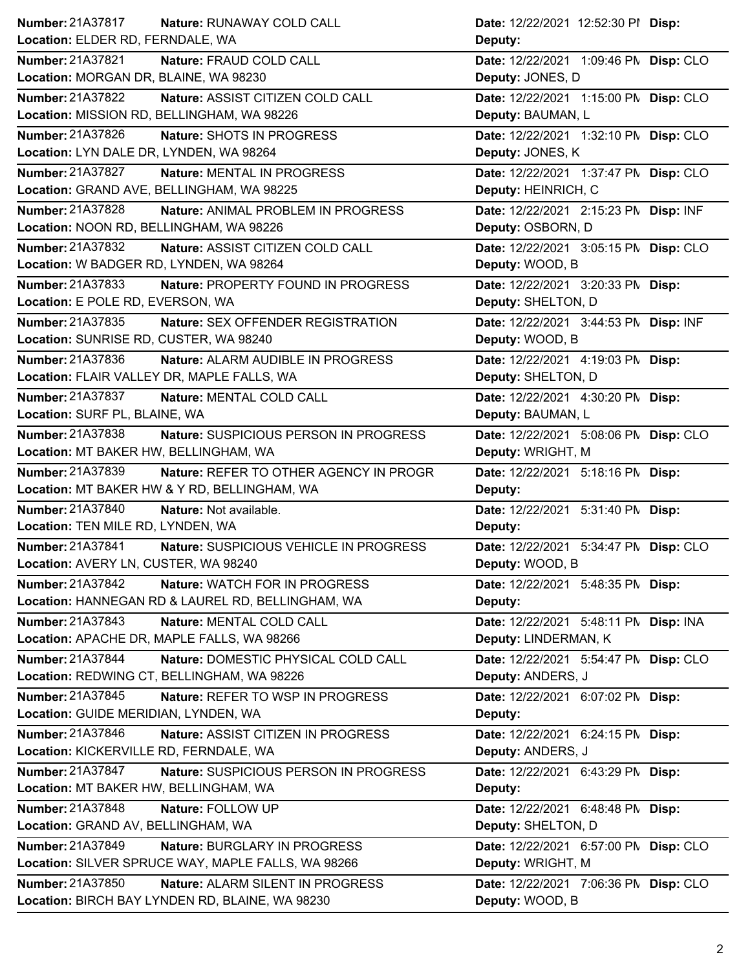| Location: ELDER RD, FERNDALE, WA<br>Deputy:<br>Nature: FRAUD COLD CALL<br>Date: 12/22/2021 1:09:46 PN Disp: CLO<br>Location: MORGAN DR, BLAINE, WA 98230<br>Deputy: JONES, D<br>Nature: ASSIST CITIZEN COLD CALL<br>Date: 12/22/2021 1:15:00 PM Disp: CLO<br>Location: MISSION RD, BELLINGHAM, WA 98226<br>Deputy: BAUMAN, L<br>Nature: SHOTS IN PROGRESS<br>Date: 12/22/2021 1:32:10 PM Disp: CLO<br>Deputy: JONES, K<br>Location: LYN DALE DR, LYNDEN, WA 98264<br><b>Nature: MENTAL IN PROGRESS</b><br>Date: 12/22/2021 1:37:47 PN Disp: CLO<br>Location: GRAND AVE, BELLINGHAM, WA 98225<br>Deputy: HEINRICH, C<br>Nature: ANIMAL PROBLEM IN PROGRESS<br>Date: 12/22/2021 2:15:23 PM Disp: INF<br>Location: NOON RD, BELLINGHAM, WA 98226<br>Deputy: OSBORN, D<br>Nature: ASSIST CITIZEN COLD CALL<br>Date: 12/22/2021 3:05:15 PN Disp: CLO |                         | Date: 12/22/2021 12:52:30 PI Disp:    |
|-------------------------------------------------------------------------------------------------------------------------------------------------------------------------------------------------------------------------------------------------------------------------------------------------------------------------------------------------------------------------------------------------------------------------------------------------------------------------------------------------------------------------------------------------------------------------------------------------------------------------------------------------------------------------------------------------------------------------------------------------------------------------------------------------------------------------------------------------|-------------------------|---------------------------------------|
|                                                                                                                                                                                                                                                                                                                                                                                                                                                                                                                                                                                                                                                                                                                                                                                                                                                 |                         |                                       |
|                                                                                                                                                                                                                                                                                                                                                                                                                                                                                                                                                                                                                                                                                                                                                                                                                                                 | <b>Number: 21A37821</b> |                                       |
|                                                                                                                                                                                                                                                                                                                                                                                                                                                                                                                                                                                                                                                                                                                                                                                                                                                 |                         |                                       |
|                                                                                                                                                                                                                                                                                                                                                                                                                                                                                                                                                                                                                                                                                                                                                                                                                                                 | <b>Number: 21A37822</b> |                                       |
|                                                                                                                                                                                                                                                                                                                                                                                                                                                                                                                                                                                                                                                                                                                                                                                                                                                 |                         |                                       |
|                                                                                                                                                                                                                                                                                                                                                                                                                                                                                                                                                                                                                                                                                                                                                                                                                                                 | <b>Number: 21A37826</b> |                                       |
|                                                                                                                                                                                                                                                                                                                                                                                                                                                                                                                                                                                                                                                                                                                                                                                                                                                 |                         |                                       |
|                                                                                                                                                                                                                                                                                                                                                                                                                                                                                                                                                                                                                                                                                                                                                                                                                                                 | Number: 21A37827        |                                       |
|                                                                                                                                                                                                                                                                                                                                                                                                                                                                                                                                                                                                                                                                                                                                                                                                                                                 |                         |                                       |
|                                                                                                                                                                                                                                                                                                                                                                                                                                                                                                                                                                                                                                                                                                                                                                                                                                                 | Number: 21A37828        |                                       |
|                                                                                                                                                                                                                                                                                                                                                                                                                                                                                                                                                                                                                                                                                                                                                                                                                                                 |                         |                                       |
|                                                                                                                                                                                                                                                                                                                                                                                                                                                                                                                                                                                                                                                                                                                                                                                                                                                 | Number: 21A37832        |                                       |
| Location: W BADGER RD, LYNDEN, WA 98264                                                                                                                                                                                                                                                                                                                                                                                                                                                                                                                                                                                                                                                                                                                                                                                                         |                         | Deputy: WOOD, B                       |
| Nature: PROPERTY FOUND IN PROGRESS<br>Date: 12/22/2021 3:20:33 PM Disp:                                                                                                                                                                                                                                                                                                                                                                                                                                                                                                                                                                                                                                                                                                                                                                         | Number: 21A37833        |                                       |
|                                                                                                                                                                                                                                                                                                                                                                                                                                                                                                                                                                                                                                                                                                                                                                                                                                                 |                         | Deputy: SHELTON, D                    |
| Location: E POLE RD, EVERSON, WA                                                                                                                                                                                                                                                                                                                                                                                                                                                                                                                                                                                                                                                                                                                                                                                                                | <b>Number: 21A37835</b> | Date: 12/22/2021 3:44:53 PM Disp: INF |
| Nature: SEX OFFENDER REGISTRATION                                                                                                                                                                                                                                                                                                                                                                                                                                                                                                                                                                                                                                                                                                                                                                                                               |                         | Deputy: WOOD, B                       |
| Location: SUNRISE RD, CUSTER, WA 98240                                                                                                                                                                                                                                                                                                                                                                                                                                                                                                                                                                                                                                                                                                                                                                                                          | Number: 21A37836        | Date: 12/22/2021 4:19:03 PM Disp:     |
| Nature: ALARM AUDIBLE IN PROGRESS                                                                                                                                                                                                                                                                                                                                                                                                                                                                                                                                                                                                                                                                                                                                                                                                               |                         | Deputy: SHELTON, D                    |
| Location: FLAIR VALLEY DR, MAPLE FALLS, WA                                                                                                                                                                                                                                                                                                                                                                                                                                                                                                                                                                                                                                                                                                                                                                                                      | <b>Number: 21A37837</b> | Date: 12/22/2021 4:30:20 PM Disp:     |
| Nature: MENTAL COLD CALL                                                                                                                                                                                                                                                                                                                                                                                                                                                                                                                                                                                                                                                                                                                                                                                                                        |                         | Deputy: BAUMAN, L                     |
| Location: SURF PL, BLAINE, WA                                                                                                                                                                                                                                                                                                                                                                                                                                                                                                                                                                                                                                                                                                                                                                                                                   | Number: 21A37838        |                                       |
| Nature: SUSPICIOUS PERSON IN PROGRESS                                                                                                                                                                                                                                                                                                                                                                                                                                                                                                                                                                                                                                                                                                                                                                                                           |                         | Deputy: WRIGHT, M                     |
| Date: 12/22/2021 5:08:06 PM Disp: CLO<br>Location: MT BAKER HW, BELLINGHAM, WA                                                                                                                                                                                                                                                                                                                                                                                                                                                                                                                                                                                                                                                                                                                                                                  | <b>Number: 21A37839</b> | Date: 12/22/2021 5:18:16 PM Disp:     |
| Nature: REFER TO OTHER AGENCY IN PROGR                                                                                                                                                                                                                                                                                                                                                                                                                                                                                                                                                                                                                                                                                                                                                                                                          |                         |                                       |
| Location: MT BAKER HW & Y RD, BELLINGHAM, WA<br>Deputy:                                                                                                                                                                                                                                                                                                                                                                                                                                                                                                                                                                                                                                                                                                                                                                                         |                         |                                       |
| Nature: Not available.<br>Date: 12/22/2021 5:31:40 PM Disp:                                                                                                                                                                                                                                                                                                                                                                                                                                                                                                                                                                                                                                                                                                                                                                                     | Number: 21A37840        |                                       |
| Location: TEN MILE RD, LYNDEN, WA<br>Deputy:                                                                                                                                                                                                                                                                                                                                                                                                                                                                                                                                                                                                                                                                                                                                                                                                    |                         |                                       |
| Nature: SUSPICIOUS VEHICLE IN PROGRESS<br>Date: 12/22/2021 5:34:47 PN Disp: CLO                                                                                                                                                                                                                                                                                                                                                                                                                                                                                                                                                                                                                                                                                                                                                                 | Number: 21A37841        |                                       |
| Location: AVERY LN, CUSTER, WA 98240<br>Deputy: WOOD, B                                                                                                                                                                                                                                                                                                                                                                                                                                                                                                                                                                                                                                                                                                                                                                                         |                         |                                       |
| Nature: WATCH FOR IN PROGRESS<br>Date: 12/22/2021 5:48:35 PM Disp:                                                                                                                                                                                                                                                                                                                                                                                                                                                                                                                                                                                                                                                                                                                                                                              | Number: 21A37842        |                                       |
| Location: HANNEGAN RD & LAUREL RD, BELLINGHAM, WA<br>Deputy:                                                                                                                                                                                                                                                                                                                                                                                                                                                                                                                                                                                                                                                                                                                                                                                    |                         |                                       |
| Nature: MENTAL COLD CALL<br>Date: 12/22/2021 5:48:11 PM Disp: INA                                                                                                                                                                                                                                                                                                                                                                                                                                                                                                                                                                                                                                                                                                                                                                               | Number: 21A37843        |                                       |
| Location: APACHE DR, MAPLE FALLS, WA 98266<br>Deputy: LINDERMAN, K                                                                                                                                                                                                                                                                                                                                                                                                                                                                                                                                                                                                                                                                                                                                                                              |                         |                                       |
| Nature: DOMESTIC PHYSICAL COLD CALL<br>Date: 12/22/2021 5:54:47 PM Disp: CLO                                                                                                                                                                                                                                                                                                                                                                                                                                                                                                                                                                                                                                                                                                                                                                    | <b>Number: 21A37844</b> |                                       |
| Location: REDWING CT, BELLINGHAM, WA 98226<br>Deputy: ANDERS, J                                                                                                                                                                                                                                                                                                                                                                                                                                                                                                                                                                                                                                                                                                                                                                                 |                         |                                       |
| Nature: REFER TO WSP IN PROGRESS<br>Date: 12/22/2021 6:07:02 PM Disp:                                                                                                                                                                                                                                                                                                                                                                                                                                                                                                                                                                                                                                                                                                                                                                           | Number: 21A37845        |                                       |
| Location: GUIDE MERIDIAN, LYNDEN, WA<br>Deputy:                                                                                                                                                                                                                                                                                                                                                                                                                                                                                                                                                                                                                                                                                                                                                                                                 |                         |                                       |
| Nature: ASSIST CITIZEN IN PROGRESS<br>Date: 12/22/2021 6:24:15 PM Disp:                                                                                                                                                                                                                                                                                                                                                                                                                                                                                                                                                                                                                                                                                                                                                                         | Number: 21A37846        |                                       |
| Location: KICKERVILLE RD, FERNDALE, WA<br>Deputy: ANDERS, J                                                                                                                                                                                                                                                                                                                                                                                                                                                                                                                                                                                                                                                                                                                                                                                     |                         |                                       |
| Nature: SUSPICIOUS PERSON IN PROGRESS<br>Date: 12/22/2021 6:43:29 PM Disp:                                                                                                                                                                                                                                                                                                                                                                                                                                                                                                                                                                                                                                                                                                                                                                      | <b>Number: 21A37847</b> |                                       |
| Location: MT BAKER HW, BELLINGHAM, WA<br>Deputy:                                                                                                                                                                                                                                                                                                                                                                                                                                                                                                                                                                                                                                                                                                                                                                                                |                         |                                       |
| Nature: FOLLOW UP<br>Date: 12/22/2021 6:48:48 PM Disp:                                                                                                                                                                                                                                                                                                                                                                                                                                                                                                                                                                                                                                                                                                                                                                                          | Number: 21A37848        |                                       |
| Location: GRAND AV, BELLINGHAM, WA<br>Deputy: SHELTON, D                                                                                                                                                                                                                                                                                                                                                                                                                                                                                                                                                                                                                                                                                                                                                                                        |                         |                                       |
| Nature: BURGLARY IN PROGRESS                                                                                                                                                                                                                                                                                                                                                                                                                                                                                                                                                                                                                                                                                                                                                                                                                    | Number: 21A37849        |                                       |
| Date: 12/22/2021 6:57:00 PM Disp: CLO<br>Location: SILVER SPRUCE WAY, MAPLE FALLS, WA 98266<br>Deputy: WRIGHT, M                                                                                                                                                                                                                                                                                                                                                                                                                                                                                                                                                                                                                                                                                                                                |                         |                                       |
| Nature: ALARM SILENT IN PROGRESS<br>Date: 12/22/2021 7:06:36 PM Disp: CLO                                                                                                                                                                                                                                                                                                                                                                                                                                                                                                                                                                                                                                                                                                                                                                       | <b>Number: 21A37850</b> |                                       |
|                                                                                                                                                                                                                                                                                                                                                                                                                                                                                                                                                                                                                                                                                                                                                                                                                                                 |                         |                                       |
|                                                                                                                                                                                                                                                                                                                                                                                                                                                                                                                                                                                                                                                                                                                                                                                                                                                 |                         |                                       |
|                                                                                                                                                                                                                                                                                                                                                                                                                                                                                                                                                                                                                                                                                                                                                                                                                                                 |                         |                                       |
|                                                                                                                                                                                                                                                                                                                                                                                                                                                                                                                                                                                                                                                                                                                                                                                                                                                 |                         |                                       |
|                                                                                                                                                                                                                                                                                                                                                                                                                                                                                                                                                                                                                                                                                                                                                                                                                                                 |                         |                                       |
|                                                                                                                                                                                                                                                                                                                                                                                                                                                                                                                                                                                                                                                                                                                                                                                                                                                 |                         |                                       |
|                                                                                                                                                                                                                                                                                                                                                                                                                                                                                                                                                                                                                                                                                                                                                                                                                                                 |                         |                                       |
|                                                                                                                                                                                                                                                                                                                                                                                                                                                                                                                                                                                                                                                                                                                                                                                                                                                 |                         |                                       |
|                                                                                                                                                                                                                                                                                                                                                                                                                                                                                                                                                                                                                                                                                                                                                                                                                                                 |                         |                                       |
|                                                                                                                                                                                                                                                                                                                                                                                                                                                                                                                                                                                                                                                                                                                                                                                                                                                 |                         |                                       |
|                                                                                                                                                                                                                                                                                                                                                                                                                                                                                                                                                                                                                                                                                                                                                                                                                                                 |                         |                                       |
|                                                                                                                                                                                                                                                                                                                                                                                                                                                                                                                                                                                                                                                                                                                                                                                                                                                 |                         |                                       |
|                                                                                                                                                                                                                                                                                                                                                                                                                                                                                                                                                                                                                                                                                                                                                                                                                                                 |                         |                                       |
|                                                                                                                                                                                                                                                                                                                                                                                                                                                                                                                                                                                                                                                                                                                                                                                                                                                 |                         |                                       |
| Nature: RUNAWAY COLD CALL                                                                                                                                                                                                                                                                                                                                                                                                                                                                                                                                                                                                                                                                                                                                                                                                                       | Number: 21A37817        |                                       |